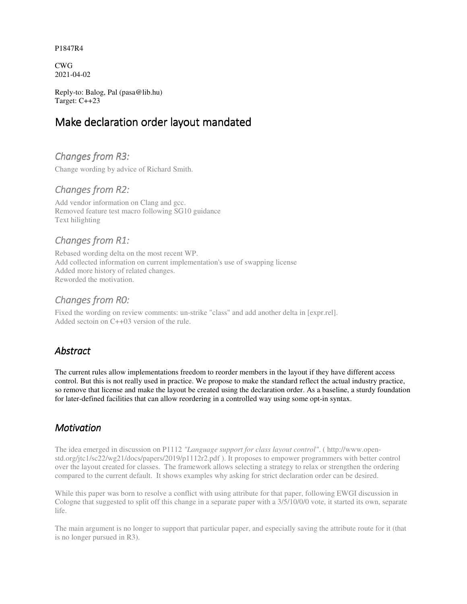#### P1847R4

CWG 2021-04-02

Reply-to: Balog, Pal (pasa@lib.hu) Target: C++23

# Make declaration order layout mandated

# *Changes from R3:*

Change wording by advice of Richard Smith.

## *Changes from R2:*

Add vendor information on Clang and gcc. Removed feature test macro following SG10 guidance Text hilighting

# *Changes from R1:*

Rebased wording delta on the most recent WP. Add collected information on current implementation's use of swapping license Added more history of related changes. Reworded the motivation.

## *Changes from R0:*

Fixed the wording on review comments: un-strike "class" and add another delta in [expr.rel]. Added sectoin on C++03 version of the rule.

# *Abstract*

The current rules allow implementations freedom to reorder members in the layout if they have different access control. But this is not really used in practice. We propose to make the standard reflect the actual industry practice, so remove that license and make the layout be created using the declaration order. As a baseline, a sturdy foundation for later-defined facilities that can allow reordering in a controlled way using some opt-in syntax.

### *Motivation*

The idea emerged in discussion on P1112 *"Language support for class layout control"*. ( http://www.openstd.org/jtc1/sc22/wg21/docs/papers/2019/p1112r2.pdf ). It proposes to empower programmers with better control over the layout created for classes. The framework allows selecting a strategy to relax or strengthen the ordering compared to the current default. It shows examples why asking for strict declaration order can be desired.

While this paper was born to resolve a conflict with using attribute for that paper, following EWGI discussion in Cologne that suggested to split off this change in a separate paper with a 3/5/10/0/0 vote, it started its own, separate life.

The main argument is no longer to support that particular paper, and especially saving the attribute route for it (that is no longer pursued in R3).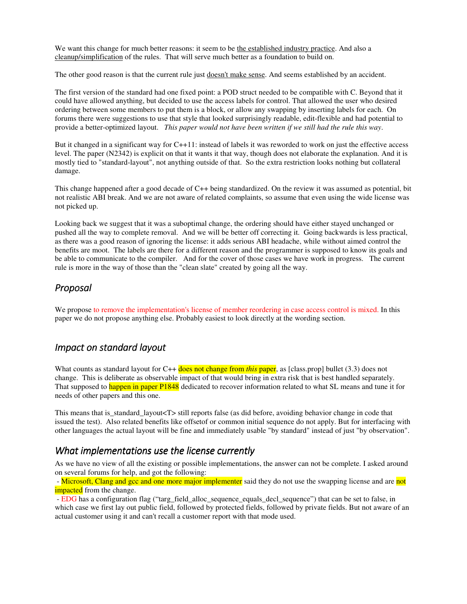We want this change for much better reasons: it seem to be the established industry practice. And also a cleanup/simplification of the rules. That will serve much better as a foundation to build on.

The other good reason is that the current rule just **doesn't make sense**. And seems established by an accident.

The first version of the standard had one fixed point: a POD struct needed to be compatible with C. Beyond that it could have allowed anything, but decided to use the access labels for control. That allowed the user who desired ordering between some members to put them is a block, or allow any swapping by inserting labels for each. On forums there were suggestions to use that style that looked surprisingly readable, edit-flexible and had potential to provide a better-optimized layout. *This paper would not have been written if we still had the rule this way*.

But it changed in a significant way for C++11: instead of labels it was reworded to work on just the effective access level. The paper (N2342) is explicit on that it wants it that way, though does not elaborate the explanation. And it is mostly tied to "standard-layout", not anything outside of that. So the extra restriction looks nothing but collateral damage.

This change happened after a good decade of C++ being standardized. On the review it was assumed as potential, bit not realistic ABI break. And we are not aware of related complaints, so assume that even using the wide license was not picked up.

Looking back we suggest that it was a suboptimal change, the ordering should have either stayed unchanged or pushed all the way to complete removal. And we will be better off correcting it. Going backwards is less practical, as there was a good reason of ignoring the license: it adds serious ABI headache, while without aimed control the benefits are moot. The labels are there for a different reason and the programmer is supposed to know its goals and be able to communicate to the compiler. And for the cover of those cases we have work in progress. The current rule is more in the way of those than the "clean slate" created by going all the way.

#### *Proposal*

We propose to remove the implementation's license of member reordering in case access control is mixed. In this paper we do not propose anything else. Probably easiest to look directly at the wording section.

### *Impact on standard layout*

What counts as standard layout for C++ does not change from *this* paper, as [class.prop] bullet (3.3) does not change. This is deliberate as observable impact of that would bring in extra risk that is best handled separately. That supposed to happen in paper P1848 dedicated to recover information related to what SL means and tune it for needs of other papers and this one.

This means that is standard layout<T> still reports false (as did before, avoiding behavior change in code that issued the test). Also related benefits like offsetof or common initial sequence do not apply. But for interfacing with other languages the actual layout will be fine and immediately usable "by standard" instead of just "by observation".

#### *What implementations use the license currently*

As we have no view of all the existing or possible implementations, the answer can not be complete. I asked around on several forums for help, and got the following:

- Microsoft, Clang and gcc and one more major implementer said they do not use the swapping license and are not **impacted** from the change.

 - EDG has a configuration flag ("targ\_field\_alloc\_sequence\_equals\_decl\_sequence") that can be set to false, in which case we first lay out public field, followed by protected fields, followed by private fields. But not aware of an actual customer using it and can't recall a customer report with that mode used.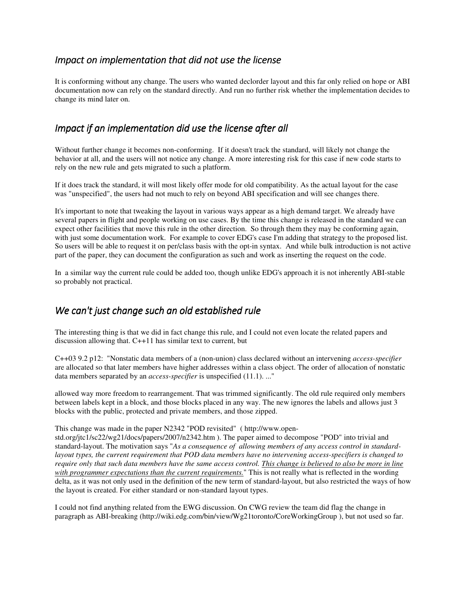#### *Impact on implementation that did not use the license*

It is conforming without any change. The users who wanted declorder layout and this far only relied on hope or ABI documentation now can rely on the standard directly. And run no further risk whether the implementation decides to change its mind later on.

#### *Impact if an implementation did use the license after all*

Without further change it becomes non-conforming. If it doesn't track the standard, will likely not change the behavior at all, and the users will not notice any change. A more interesting risk for this case if new code starts to rely on the new rule and gets migrated to such a platform.

If it does track the standard, it will most likely offer mode for old compatibility. As the actual layout for the case was "unspecified", the users had not much to rely on beyond ABI specification and will see changes there.

It's important to note that tweaking the layout in various ways appear as a high demand target. We already have several papers in flight and people working on use cases. By the time this change is released in the standard we can expect other facilities that move this rule in the other direction. So through them they may be conforming again, with just some documentation work. For example to cover EDG's case I'm adding that strategy to the proposed list. So users will be able to request it on per/class basis with the opt-in syntax. And while bulk introduction is not active part of the paper, they can document the configuration as such and work as inserting the request on the code.

In a similar way the current rule could be added too, though unlike EDG's approach it is not inherently ABI-stable so probably not practical.

### *We can't just change such an old established rule*

The interesting thing is that we did in fact change this rule, and I could not even locate the related papers and discussion allowing that. C++11 has similar text to current, but

C++03 9.2 p12: "Nonstatic data members of a (non-union) class declared without an intervening *access-specifier* are allocated so that later members have higher addresses within a class object. The order of allocation of nonstatic data members separated by an *access-specifier* is unspecified (11.1). ..."

allowed way more freedom to rearrangement. That was trimmed significantly. The old rule required only members between labels kept in a block, and those blocks placed in any way. The new ignores the labels and allows just 3 blocks with the public, protected and private members, and those zipped.

#### This change was made in the paper N2342 "POD revisited" ( http://www.open-

std.org/jtc1/sc22/wg21/docs/papers/2007/n2342.htm ). The paper aimed to decompose "POD" into trivial and standard-layout. The motivation says "*As a consequence of allowing members of any access control in standardlayout types, the current requirement that POD data members have no intervening access-specifiers is changed to require only that such data members have the same access control. This change is believed to also be more in line with programmer expectations than the current requirements.*" This is not really what is reflected in the wording delta, as it was not only used in the definition of the new term of standard-layout, but also restricted the ways of how the layout is created. For either standard or non-standard layout types.

I could not find anything related from the EWG discussion. On CWG review the team did flag the change in paragraph as ABI-breaking (http://wiki.edg.com/bin/view/Wg21toronto/CoreWorkingGroup ), but not used so far.